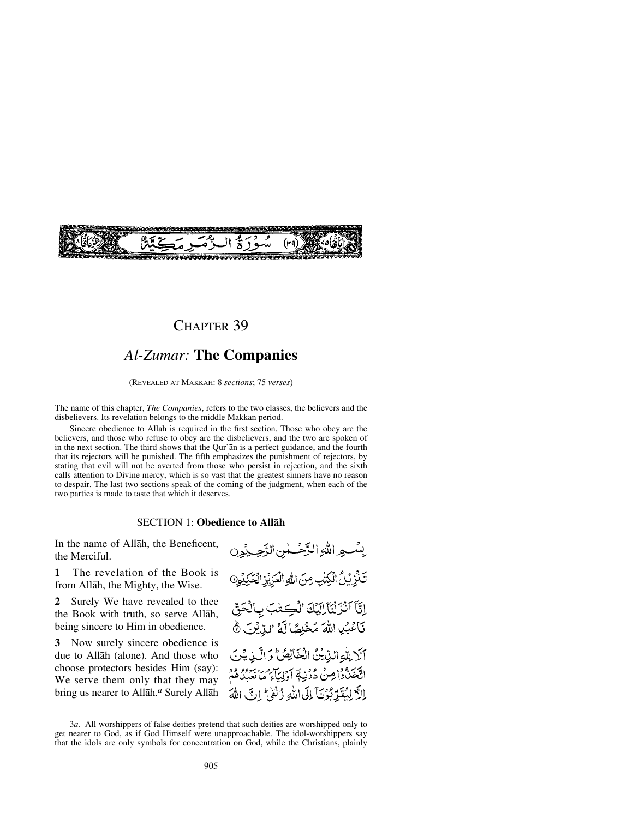

# CHAPTER 39

# *Al-Zumar:* **The Companies**

(REVEALED AT MAKKAH: 8 *sections*; 75 *verses*)

The name of this chapter, *The Companies*, refers to the two classes, the believers and the disbelievers. Its revelation belongs to the middle Makkan period.

Sincere obedience to Allåh is required in the first section. Those who obey are the believers, and those who refuse to obey are the disbelievers, and the two are spoken of in the next section. The third shows that the Qur'ån is a perfect guidance, and the fourth that its rejectors will be punished. The fifth emphasizes the punishment of rejectors, by stating that evil will not be averted from those who persist in rejection, and the sixth calls attention to Divine mercy, which is so vast that the greatest sinners have no reason to despair. The last two sections speak of the coming of the judgment, when each of the two parties is made to taste that which it deserves.

#### SECTION 1: **Obedience to Allåh**

In the name of Allåh, the Beneficent, the Merciful.

**1** The revelation of the Book is from Allåh, the Mighty, the Wise.

**2** Surely We have revealed to thee the Book with truth, so serve Allåh, being sincere to Him in obedience.

**3** Now surely sincere obedience is due to Allåh (alone). And those who choose protectors besides Him (say): We serve them only that they may bring us nearer to Allåh.*<sup>a</sup>* Surely Allåh

يِسْسِعِ اللَّهِ الزَّحْسَلُنِ الزَّحِسِيْمِينِ تَنْزِيْلُ الْكِتْبِ مِنَ اللهِ الْعَزِيْزِ الْحَكِيْمِ 9 إِيَّآَ ٱنْزَلْنَآلِلِيَّكَ الْكِتَابَ بِٱلْحَقِّ فَأَعْبُلِ اللَّهَ مُخْلِصًا لَّهُ اللَّهِ لِنَّ آلا بِلّهِ الدِّيْنُ الْخَالِصُّ وَ الَّذِيشَ التَّخَذُواصِنُ دُوْنِ ﴾ أَوْلِيَاءِ مِمَا نَعْبُدُهُمْ اللَّا لِيُقَدِّبُوْنَآ إِلَى اللَّهِ ذُلْفَىٰ ۚ إِنَّ اللَّهَ

<sup>3</sup>*a.* All worshippers of false deities pretend that such deities are worshipped only to get nearer to God, as if God Himself were unapproachable. The idol-worshippers say that the idols are only symbols for concentration on God, while the Christians, plainly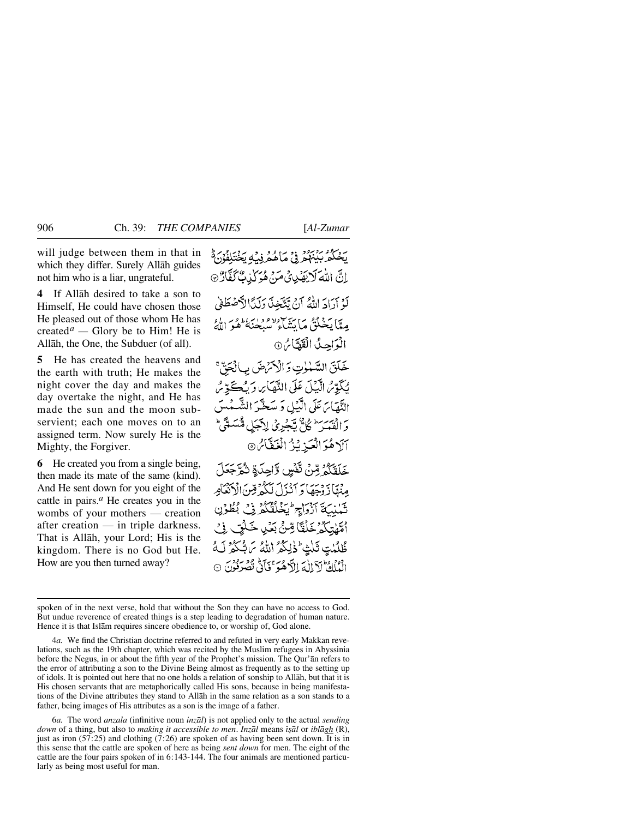will judge between them in that in which they differ. Surely Allåh guides not him who is a liar, ungrateful.

**4** If Allåh desired to take a son to Himself, He could have chosen those He pleased out of those whom He has created<sup>*a*</sup> — Glory be to Him! He is Allåh, the One, the Subduer (of all).

**5** He has created the heavens and the earth with truth; He makes the night cover the day and makes the day overtake the night, and He has made the sun and the moon subservient; each one moves on to an assigned term. Now surely He is the Mighty, the Forgiver.

**6** He created you from a single being, then made its mate of the same (kind). And He sent down for you eight of the cattle in pairs.*<sup>a</sup>* He creates you in the wombs of your mothers — creation after creation — in triple darkness. That is Allåh, your Lord; His is the kingdom. There is no God but He. How are you then turned away?

بِّهْكُمُّ بِيَبْهُمُّ فِيْ مَاهُمُّ فِيْهِ يَخْتَلِفُوْنَ مُّ اِنَّ اللَّهَ لَا يَهْدِيْ مَنْ هُوَ كَيْتِ كَغَّارٌ ۞ لَوْ أَدَادَ اللَّهُ أَنْ تَتَّخِذَ دَلَدًا لَآصَطَفِي مِيًّا يَخْلُقُ مَا يَشَارُ مِنْ مِيْجِنِهُ وَهُوَ اللَّهُ الْوَاحِيثُ الْقَدَّاسُ @ خَلَقَ السَّمْوٰتِ وَالْأَمَرُّ صَ لِّأَلْحَقِّ

يُكَوِّرُ الَّيْلَ عَلَى التَّهَاْيِ وَيُكَحَّرِّيُّ النَّهَاَيَ عَلَى الَّيۡلِ وَ سَخَّرَ الشَّمْسَ وَالْقَمَرَ ۖ كُلُّ يَجْرِيْ لِأَجَلِ مُّسَمَّى ۖ آلَاهُوَ الْعَيْزِ بِّنْ الْغَفَّاسُ @

خَلَقَكُمُ مِّنْ تَّفْسٍ وَّاحِدَةِ تُمَّ جَعَلَ مِنْهَادَ دْجَعَا دَ أَنْزَلَ لَيْكُمْ قِينَ الْآنَعَامِرِ تَبْنِيَةَ آزْوَاجِ أَبَخْلُقُكُمْ فِي بُطُوْنِ ٱمَّيْسَكُمْ خَلَقَاً مِّنَّ بَعَٰلِ خَلَيْ فِي طُلُبْتِ ثَلْتِ خَٰلِكُمُ ٱللَّهُ مَن شَكَّرُ لَهُ الْعَلَيْ لَآ إِلَٰهَ إِلاَّ هُوَ ۚ نَآ بِي نَصْرَفُونَ ۞

6*a.* The word *anzala* (infinitive noun *inzål*) is not applied only to the actual *sending down* of a thing, but also to *making it accessible to men*. *Inzål* means *ß©ål* or *iblågh* (R), just as iron  $(57.25)$  and clothing  $(7.26)$  are spoken of as having been sent down. It is in this sense that the cattle are spoken of here as being *sent down* for men. The eight of the cattle are the four pairs spoken of in 6:143-144. The four animals are mentioned particularly as being most useful for man.

spoken of in the next verse, hold that without the Son they can have no access to God. But undue reverence of created things is a step leading to degradation of human nature. Hence it is that Islåm requires sincere obedience to, or worship of, God alone.

<sup>4</sup>*a.* We find the Christian doctrine referred to and refuted in very early Makkan revelations, such as the 19th chapter, which was recited by the Muslim refugees in Abyssinia before the Negus, in or about the fifth year of the Prophet's mission. The Qur'ån refers to the error of attributing a son to the Divine Being almost as frequently as to the setting up of idols. It is pointed out here that no one holds a relation of sonship to Allåh, but that it is His chosen servants that are metaphorically called His sons, because in being manifestations of the Divine attributes they stand to Allåh in the same relation as a son stands to a father, being images of His attributes as a son is the image of a father.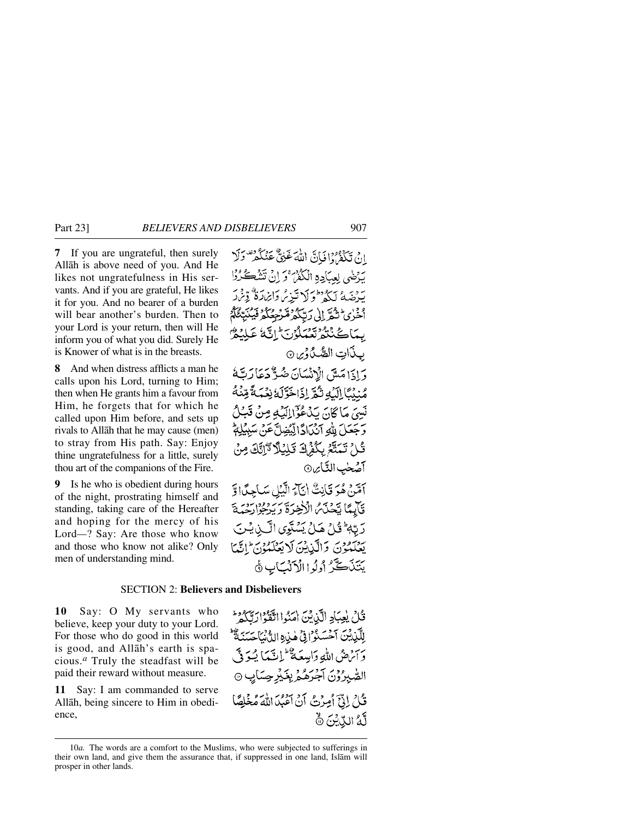**7** If you are ungrateful, then surely Allåh is above need of you. And He likes not ungratefulness in His servants. And if you are grateful, He likes it for you. And no bearer of a burden will bear another's burden. Then to your Lord is your return, then will He inform you of what you did. Surely He is Knower of what is in the breasts.

**8** And when distress afflicts a man he calls upon his Lord, turning to Him; then when He grants him a favour from Him, he forgets that for which he called upon Him before, and sets up rivals to Allåh that he may cause (men) to stray from His path. Say: Enjoy thine ungratefulness for a little, surely thou art of the companions of the Fire.

**9** Is he who is obedient during hours of the night, prostrating himself and standing, taking care of the Hereafter and hoping for the mercy of his Lord*—*? Say: Are those who know and those who know not alike? Only men of understanding mind.

إِنْ تَكْفُرُوا فَإِنَّ اللَّهَ غَنِيٌّ عَنْكُمْ" وَلَا بَرْضَى لِعِبَادِهِ الْكُفْرُ ۚ وَ إِنْ تَتَنْبَعَ سَرْحَيْهِ ۚ يَدُفُو كَلا تَبْنُ وَإِيْرَادَةٌ ۗ وِّ ٱخْرٰى ۡ ثُمَّ إِلَى رَبِّكُمۡ مَّرۡ مِمُكُمۡ فَيۡهُ بِيمَاڪُنْٽُوتُعَمَلُونَ اِنَّهُ عَ بِذَاتِ الصُّدُورِينِ ⊙ دَادَامَيْتِي الْإِنْسَانَ ضُوَّكَهُ دَعَا رَتَّةُ مُنْدُبًا إِلَيْهِ ثُمَّةً إِذَاخَةٍ لَهُ نِعْمَةً مِّنْهُ نَسِيَ مَا كَانَ بَدْعُوْٓالِلَّهُ مِنْ قَبِي وَجَعَلَ بِلَّٰهِ آنَكَاادًّالِّيُّضِلَّ عَنْ سَبِيُّ قُلْ تَمَتَّعُ بِكُفْرَادٌ قَلِيْلًا تَرَانَّكَ مِ آصِّحٰبِ النَّاسِ۞ أَمَّنْ هُوَ قَانِتٌ أَنَّآَءُ الَّيْلِ سَاجِدًّا وَّ قَابِعًا يَحْذَى الْأَخِرَةَ رَبِّرْجُوْارَدْمَةَ رَبَّهُ ثَيْلَ هَـٰلُ بَسُنَوِي الَّـٰنِ فِـٰنَ يَصْدُونَ وَالَّذِينَ لَا يَعْكَمُونَ إِنَّيْمَا يَتَذَكَّرُ أُولُواالْأَنْكَابِ ﴾

## SECTION 2: **Believers and Disbelievers**

**10** Say: O My servants who believe, keep your duty to your Lord. For those who do good in this world is good, and Allåh's earth is spacious.*<sup>a</sup>* Truly the steadfast will be paid their reward without measure.

**11** Say: I am commanded to serve Allåh, being sincere to Him in obedience,

قُلْ يُعِبَادِ الَّذِيْنَ امَنُوا اتَّقَوْارَتَّكُمْ لِلَّذِيْنَ آَحْسَنُوْ (فِي هٰذِهِ اللَّهُ نَاحَسَنَةٌ وَآَتْرَضُ اللَّهِ وَاسِعَةٌ ۖ لَمِانَّتِهَا يُسَوِّقٌ الصّْبِرُوْنَ آجُرَهُمْ بِغَيْرِ حِسَابِ ۞ قُلْ إِنِّيَّ أُمِرْتُ أَنْ أَعْبُدَ اللَّهَ مُخْلِصًا لَّهُ الدِّيْنَ ۞

<sup>10</sup>*a.* The words are a comfort to the Muslims, who were subjected to sufferings in their own land, and give them the assurance that, if suppressed in one land, Islåm will prosper in other lands.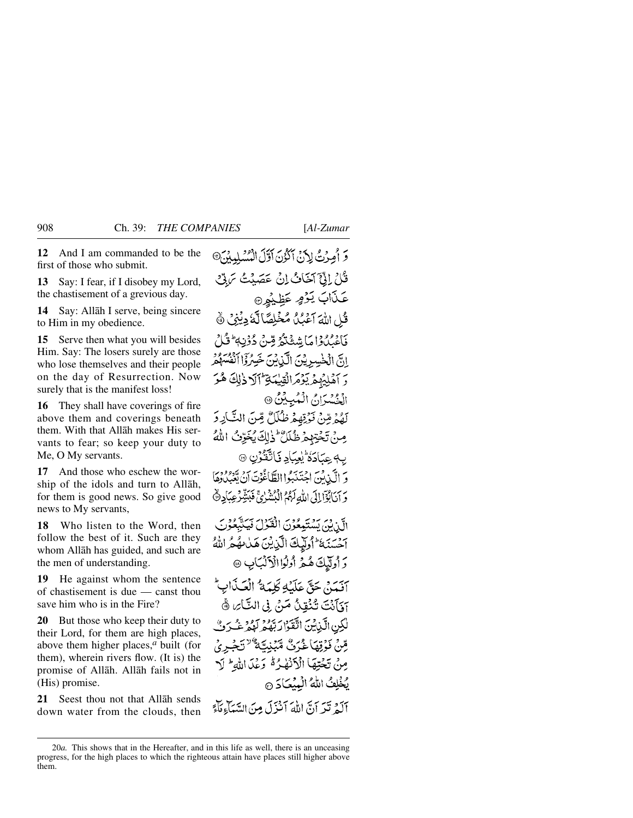**12** And I am commanded to be the first of those who submit.

**13** Say: I fear, if I disobey my Lord, the chastisement of a grevious day.

**14** Say: Allåh I serve, being sincere to Him in my obedience.

**15** Serve then what you will besides Him. Say: The losers surely are those who lose themselves and their people on the day of Resurrection. Now surely that is the manifest loss!

**16** They shall have coverings of fire above them and coverings beneath them. With that Allåh makes His servants to fear; so keep your duty to Me, O My servants.

**17** And those who eschew the worship of the idols and turn to Allåh, for them is good news. So give good news to My servants,

**18** Who listen to the Word, then follow the best of it. Such are they whom Allåh has guided, and such are the men of understanding.

**19** He against whom the sentence of chastisement is due — canst thou save him who is in the Fire?

**20** But those who keep their duty to their Lord, for them are high places, above them higher places,*<sup>a</sup>* built (for them), wherein rivers flow. (It is) the promise of Allåh. Allåh fails not in (His) promise.

**21** Seest thou not that Allåh sends down water from the clouds, then وَ أُمِرُتُ لِأَنِّ آَكُوْنَ آَوَّلَ الْمُسْلِيِينَ® قُلْ إِنِّيَ آخَافُ إِنْ عَصَيْتُ تَرَبَّيْ عَذَابَ يَوْمٍ عَظِيْمِ قُلِ اللَّهَ آَعَبُلُ مُخَلِصًا لَّهُ دِيْنِي ﴾ فَأَعْبُدُوْا مَا شِيغَتْهُ قِينٌ دُوْنِي شَوْرٌ إِنَّ الْخَسِرِيْنَ الَّذِيْنَ خَسِرُوْا اَنْفُسُهُمْ وَ أَهْلِيُهِمْ يَؤْمَرَ الْقِيْمَةِ أَآلَا ذٰلِكَ هُوَ الْجُسْدَانُ الْمُبِينُ ۞ لَهُمۡ مِّنۡ فَوۡنِهِمۡ ظُلَلٌ مِّنَ النَّارِ وَ مِنْ تَخْتِهِمْ ظُلَلٌ ۚ ذٰٰٓ لِكَ يُخَرِّبُ اللَّهُ ب4عِمَادَةُ يُعِبَادِ فَاتَّقَنُّوْنِ ۞ وَ الْكَيْانُونَ احْتَذَبَبُوا الطَّاغُوتَ أَنْ تَعْبَدُدُهُمْ وَ آنَابُؤَا إِلَى اللَّهِ لَهُمُ الْبُشْرُئِ فَبَشِّرْعِبَادِنَّهُ الَّيْ بِنَ يَسْتَعِعُوْنَ الْقَوْلَ فَيَتَّبَعُوْنَ أَحْسَنَهُ وَالْبِكَ الَّذِيْنَ هَدَامُهُمُّ اللَّهُ دَ أُولَيْكَ هُمْ أُوْلُوْا الْأَلْبَابِ @ آفدني حَقٍّ عَلَيْهِ كَلَّمَهُ ۚ إِنَّكَ أَبِيءٌ آوَ]َنۡتَ تُنۡفِنُ مَنۡ. فِي التَّائِرِ، ۞ لْكِنِ الَّذِيْنَ اتَّقَوْا رَبَّهُ مِرْ لَهُمْ غُبَرَتٌ قِينْ فَوْقِهَا غُيَرِيٌّ مَيْنِيَّةٌ ۚ تَجْبِرِيُّ مِنْ تَجْتِهَا الْأَنْهٰدُهُ وَعْدَاللَّهِ ۚ لَا يُخْلِفُ اللَّهُ الْبِيْعَادَ @ آلهُ تَدِ أَنَّ اللَّهَ أَنْزِلَ مِنَ السَّبَأَءِ مَأَءً

<sup>20</sup>*a.* This shows that in the Hereafter, and in this life as well, there is an unceasing progress, for the high places to which the righteous attain have places still higher above them.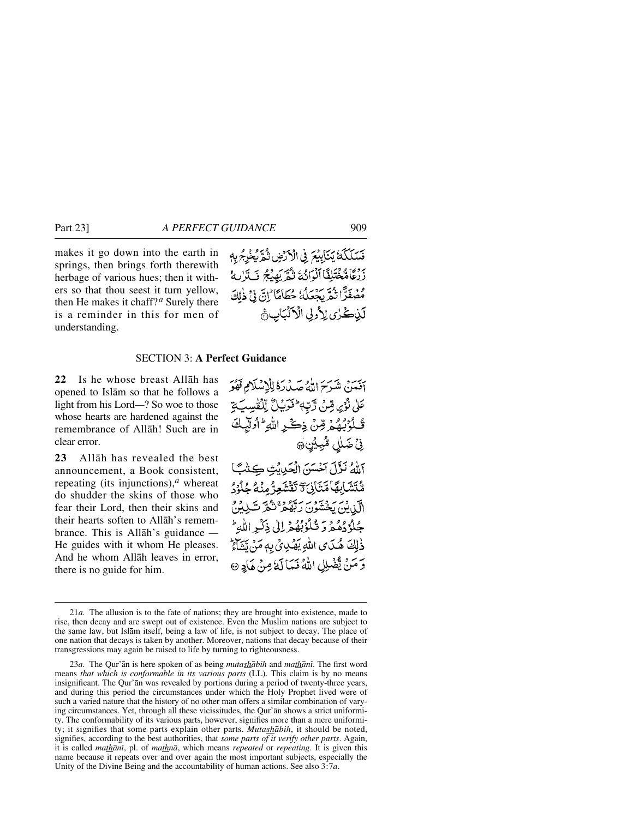makes it go down into the earth in springs, then brings forth therewith herbage of various hues; then it withers so that thou seest it turn yellow, then He makes it chaff?*<sup>a</sup>* Surely there is a reminder in this for men of understanding.

فَسَلَكَهُ يَتَأْبِيْعَ فِي الْأَرْضِ تُمَرِّيْخِهِ بِمِ رَبِّكَامُّخْتَلِفَّا ٱلْوَائِدَ تَمُّرَيَهِيْجُ فَتَرَكَّهُ مُصْفَرًّا تُمَّرِّيجُعَلُهُ حُطَامًا إِنَّ فِي ذٰلِكَ لَيْنِكُرْيِ لِأُولِي الْأَلْبَابِ﴾

### SECTION 3: **A Perfect Guidance**

**22** Is he whose breast Allåh has opened to Islåm so that he follows a light from his Lord*—*? So woe to those whose hearts are hardened against the remembrance of Allåh! Such are in clear error.

**23** Allåh has revealed the best announcement, a Book consistent, repeating (its injunctions),*<sup>a</sup>* whereat do shudder the skins of those who fear their Lord, then their skins and their hearts soften to Allåh's remembrance. This is Allåh's guidance *—* He guides with it whom He pleases. And he whom Allåh leaves in error, there is no guide for him.

آفَيْنَ شَرَحَ اللَّهُ صَدْرَةُ لِلْإِسْلَامِ فَهُوَ عَلَىٰ نُرُىِ قِنْ زَّبِّ أَخَرَيْلُ لِلْقُسِبَةِ قُلُوۡبُهُمۡ قِنۡ ذِكۡرِ اللَّهِ ۚ أُولَٰٓيَاتَ نِيۡ ضَمٰلِي مُّبِيۡيَنِ۞ اللهُ نَزَّلَ آخَسَنَ الْحَرِيَّتِ كِتْبً مُّتَشَابِهَا مَّتَانِيَّ تَقْشَعِرُّ مِنْهُ جُلُوْدُ الآن يخشون ربيموج شركت كيده جُلْزُدُهُمْرَ وَ تُلْزُبُهُمْ إِلَىٰ ذِكْيِرِ اللَّهِ ۖ ذٰلِكَ هُدَى اللَّهِ يَهْدِئِ بِهِ مَنْ يَشَاءُ

وَ مَنْ يَّضْلِلِ اللَّهُ فَيَمَا لَهُ مِنْ هَادٍ ۞

<sup>21</sup>*a.* The allusion is to the fate of nations; they are brought into existence, made to rise, then decay and are swept out of existence. Even the Muslim nations are subject to the same law, but Islåm itself, being a law of life, is not subject to decay. The place of one nation that decays is taken by another. Moreover, nations that decay because of their transgressions may again be raised to life by turning to righteousness.

<sup>23</sup>*a.* The Qur'ån is here spoken of as being *mutashåbih* and *mathånß*. The first word means *that which is conformable in its various parts* (LL). This claim is by no means insignificant. The Qur'ån was revealed by portions during a period of twenty-three years, and during this period the circumstances under which the Holy Prophet lived were of such a varied nature that the history of no other man offers a similar combination of varying circumstances. Yet, through all these vicissitudes, the Qur'ån shows a strict uniformity. The conformability of its various parts, however, signifies more than a mere uniformity; it signifies that some parts explain other parts. *Mutashåbih*, it should be noted, signifies, according to the best authorities, that *some parts of it verify other parts*. Again, it is called *mathånß*, pl. of *mathnå*, which means *repeated* or *repeating*. It is given this name because it repeats over and over again the most important subjects, especially the Unity of the Divine Being and the accountability of human actions. See also 3:7*a*.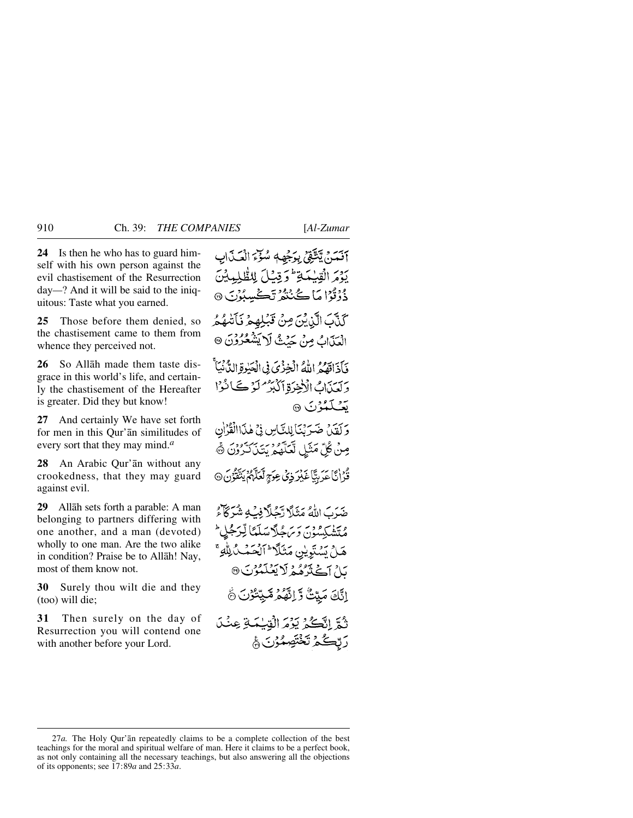**24** Is then he who has to guard himself with his own person against the evil chastisement of the Resurrection day*—*? And it will be said to the iniquitous: Taste what you earned.

**25** Those before them denied, so the chastisement came to them from whence they perceived not.

**26** So Allåh made them taste disgrace in this world's life, and certainly the chastisement of the Hereafter is greater. Did they but know!

**27** And certainly We have set forth for men in this Qur'ån similitudes of every sort that they may mind.*<sup>a</sup>*

**28** An Arabic Qur'ån without any crookedness, that they may guard against evil.

**29** Allåh sets forth a parable: A man belonging to partners differing with one another, and a man (devoted) wholly to one man. Are the two alike in condition? Praise be to Allåh! Nay, most of them know not.

**30** Surely thou wilt die and they (too) will die;

**31** Then surely on the day of Resurrection you will contend one with another before your Lord.

آفَمَنْ يَتَّتَّقِىٰ بِرَجْهِهٖ سُوِّءَ الْعَذَابِ يَدْمَ الْقِبْبَيَةِ لَمْ وَقِيْلَ لِلظُّلِيهِيْنَ دُوْتُوْا مَا ڪُنُنْھُرُ تَڪْسِبُوْنَ ۞ كَنَّكَ الَّذِيْنَ مِنْ قَبْلِهِمْ فَأَتَّهُمُ الْعَذَابُ مِنْ حَيْثُ لَا يَشْعُرُوْنَ @ فَأَذَاقَهُمُ اللَّهُ الْخِزْيَ فِي الْحَبْوةِ الدُّنْيَأَ ريت الاخرة الكبر من كان ى**ت**ىككۇن 1 وَ لَقَدْ، ضَيَرَنْنَأَ لِلنَّاسِ فِي هٰذَاالْقُرْأَنِ مِنْ كُلِّ مَثَلِ لَّعَلَّهُمُ بَتَنَ َكَرُوْنَ ۞ وْدْ إِيَّا عَدِيبًّا عَيْرِ ذِي عِوَمٍّ لَعَلَّهُمْ يَتَّقُوُنَ ۞ ضَدَبَ اللَّهُ مَثَلًا تَحُلَّا فِبُ4ٍ شُرَكّاًءُ ۇتتۈپكىيەن دېر چەكى تىلىنا تېرىجل<sup>ىد</sup> هَلْ يَسۡنَوِيۡنِ مَثَلَآ ۖ ٱلۡحَمۡـٰلُالِّٰهِ ۚ ىلْ آڭتَرْهُمْ لَايْتَلَمْرْنَ® اِنَّكَ مَيِّتُ وَّ اِنَّهُمْ مَّيِّتُوْنَ ﴾

تُمَّ اِتَّكُمْ يَوْمَ الْقِيْمَةِ عِنْدَ رَبِّكُمُ تَخْتَصِمُّرُنَ ۾َ

<sup>27</sup>*a.* The Holy Qur'ån repeatedly claims to be a complete collection of the best teachings for the moral and spiritual welfare of man. Here it claims to be a perfect book, as not only containing all the necessary teachings, but also answering all the objections of its opponents; see 17:89*a* and 25:33*a*.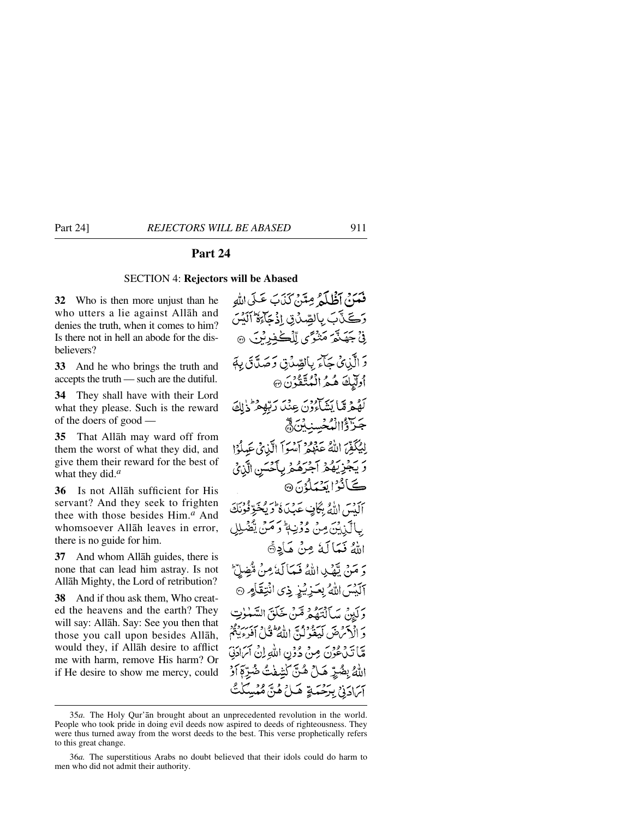# **Part 24**

#### SECTION 4: **Rejectors will be Abased**

**32** Who is then more unjust than he who utters a lie against Allåh and denies the truth, when it comes to him? Is there not in hell an abode for the disbelievers?

**33** And he who brings the truth and accepts the truth — such are the dutiful.

**34** They shall have with their Lord what they please. Such is the reward of the doers of good —

**35** That Allåh may ward off from them the worst of what they did, and give them their reward for the best of what they did.*<sup>a</sup>*

**36** Is not Allåh sufficient for His servant? And they seek to frighten thee with those besides Him.*<sup>a</sup>* And whomsoever Allåh leaves in error, there is no guide for him.

**37** And whom Allåh guides, there is none that can lead him astray. Is not Allåh Mighty, the Lord of retribution?

**38** And if thou ask them, Who created the heavens and the earth? They will say: Allåh. Say: See you then that those you call upon besides Allåh, would they, if Allåh desire to afflict me with harm, remove His harm? Or if He desire to show me mercy, could

فَعَدَ } أَظُلَمْ مِتَنْ كَذَبَ عَلَى اللَّهِ وَكَنَّ بَ بِالصِّدْنِ إِذْ حَاءَةُ ٱلَّذِينَ نِيَّ جَهَنَّمَ مَنْوَى لِّلْكُفِيرِيْنَ ۞ دَ الَّذِي جَآءَ بِالصَّدَّقِ وَصَدَّقَ بِهَ أُولَّٰبِكَ هُمُّ الْمُتَّقَّٰذُنَ ۞ كَهُمْ مِّا يَسْكُونَ عِنْدَ رَبِّهِمْ ذَٰلِكَ جَزَرُّ الْهُجْسِنَبِنَّ ۾َ لِيُكَفِّرَ اللَّهُ عَظِهِ أَيْسُواْ الَّذِي عَبِيلُوْا رَّ يَجْزِيَهُمْ آجَرَهُمْ بِأَحْسَنِ الَّذِي ڪَٻُ دُا تَعۡمَلُوۡنَ۞ أَلَيْسَ اللَّهُ بِكَافٍ عَدِينٌ لَأَرَيْخَوِّفُوْ بِالْكَذِيْنَ مِنْ دُوْنِيةً وَ مَنْ يَفْضُرِ اللهُ فَعَالَهُ مِنْ هَادِةً دَ مَنْ تَمْكِ اللَّهُ فَيَمَاكَهُ مِنْ مُّضِلِّ آلَيْسَ اللَّهُ بِعَزِيْزِ ذِي انْتِقَامٍ ۞ وَكَيْنَ سَأَلْتَصُوْ قَبْنَ خَلَقَ السَّعْوٰتِ مراجعة من سيودوس الفطيعي وسبر دود<br>و الأمرض ليفولن الله في افروپينم قَبَا تَدْعُوْنَ مِنْ دُوُنِ اللَّهِ إِنْ آَسَادَنِيَ اللَّهُ بِضُرِّ هَـلٌ هُـنَّ كَشْفُتُ ضُرِّعَ أَزْ آى ادَنى بِرَحْمَةٍ هَـلْ هُنَّ مُمْسِكَتُّ

<sup>35</sup>*a.* The Holy Qur'ån brought about an unprecedented revolution in the world. People who took pride in doing evil deeds now aspired to deeds of righteousness. They were thus turned away from the worst deeds to the best. This verse prophetically refers to this great change.

<sup>36</sup>*a.* The superstitious Arabs no doubt believed that their idols could do harm to men who did not admit their authority.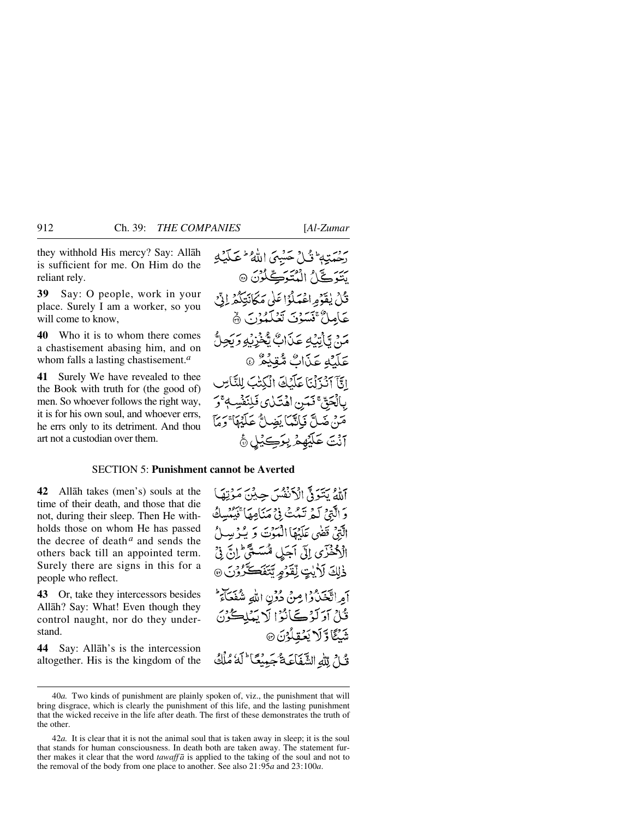they withhold His mercy? Say: Allåh is sufficient for me. On Him do the reliant rely.

**39** Say: O people, work in your place. Surely I am a worker, so you will come to know,

**40** Who it is to whom there comes a chastisement abasing him, and on whom falls a lasting chastisement.*<sup>a</sup>*

**41** Surely We have revealed to thee the Book with truth for (the good of) men. So whoever follows the right way, it is for his own soul, and whoever errs, he errs only to its detriment. And thou art not a custodian over them.

دَحْمَتِهِ ۖ وَّٰٓ لِ ۡ حَسۡبِيَ اللَّهُ ۚ عَبَدۡيَٰٓ بِهِ سَوَيٌّ) الْمُتَوَتِّكُونَ ۞ قَلْ يٰقَوۡمِ اعۡمَلُوۡٓا عَلَىٰ مَكَانَتِكُمۡرِ ۚ إِنِّي عَامِلٌ ْ تَسَوْنَ تَعْلَمُوْنَ ﴾ مَنْ تَأْتِيْهِ عَذَابٌ تَّخْزِيْهِ رَبَّحِ عَلَيْهِ عَذَابٌ مُّقِيْعٌ ۞ اتآ آنْ َلْنَا عَلَيْكَ الْكِتْبَ لِلنَّاسِ بِالْحَقَّ فَمَنِ اهْتَلِي فَلِنَفْسِهِ ۚ وَ مَنْ ضَلَّ فَبِاتَّهَا يَضِلُّ عَلَيْهَا ۚ وَمَآ آنُتَ عَلَيْهِمْ بِوَكِيْلٍ ﴾

#### SECTION 5: **Punishment cannot be Averted**

**42** Allåh takes (men's) souls at the time of their death, and those that die not, during their sleep. Then He withholds those on whom He has passed the decree of death $a$  and sends the others back till an appointed term. Surely there are signs in this for a people who reflect.

**43** Or, take they intercessors besides Allåh? Say: What! Even though they control naught, nor do they understand.

**44** Say: Allåh's is the intercession altogether. His is the kingdom of the آللهُ بِتَبَوَدٌّ الْأَنْفُسَ حِبْنَ مَوْتِهَا دَ الَّذِيْرِ كَيْمٍ تَيْمُتْ فِي مَنَامِهَا قَبْلُهُ الَّتِينَ قَضَى عَلَيْهَا الْمَعْنَ وَ بِيُّدْ بِهِ الْأَحْذَرَى إِلَى أَجَلِ مُّسَمَّى إِنَّ فِيَ ذْلِكَ لَأَيْتٍ لِْقَوْمٍ يَتَفَكَّرُوْنَ @ أمراتيْخَيْدُوْا مِنْ دُوْنِ اللهِ شُفَعَآءَ ۖ قُلْ أَوَلَوْكَ أَنُوْا لَا يَعْلِيكُوْنَ شَنَگَاؤَلَا بَعُقِلُوْنَ @ قُ لِ لَلَّهِ الشَّفَاعَةُ جَيِّنَكَا ۖ لَهُ مُلْكُ

<sup>40</sup>*a.* Two kinds of punishment are plainly spoken of, viz., the punishment that will bring disgrace, which is clearly the punishment of this life, and the lasting punishment that the wicked receive in the life after death. The first of these demonstrates the truth of the other.

<sup>42</sup>*a.* It is clear that it is not the animal soul that is taken away in sleep; it is the soul that stands for human consciousness. In death both are taken away. The statement further makes it clear that the word *tawaff*  $\bar{a}$  is applied to the taking of the soul and not to the removal of the body from one place to another. See also 21:95*a* and 23:100*a*.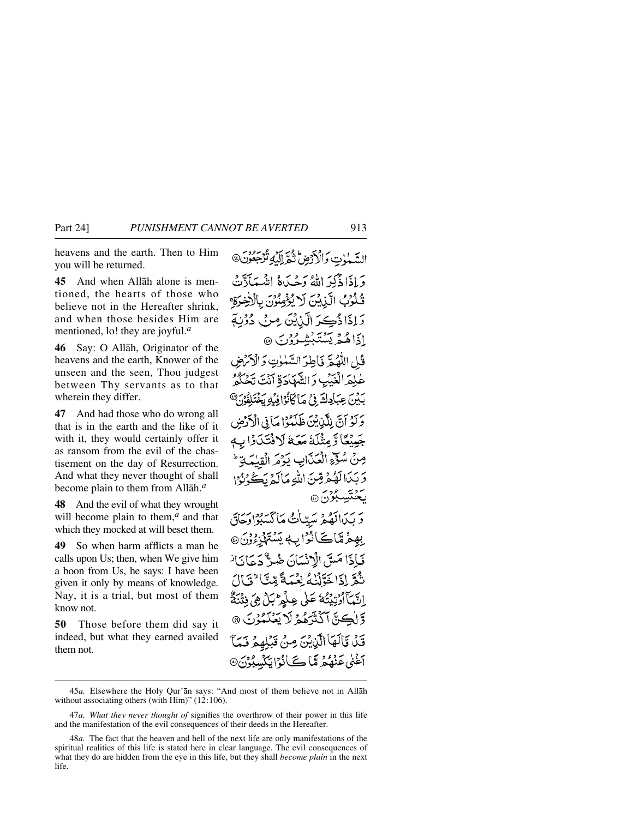heavens and the earth. Then to Him you will be returned.

**45** And when Allåh alone is mentioned, the hearts of those who believe not in the Hereafter shrink, and when those besides Him are mentioned, lo! they are joyful.*<sup>a</sup>*

**46** Say: O Allåh, Originator of the heavens and the earth, Knower of the unseen and the seen, Thou judgest between Thy servants as to that wherein they differ.

**47** And had those who do wrong all that is in the earth and the like of it with it, they would certainly offer it as ransom from the evil of the chastisement on the day of Resurrection. And what they never thought of shall become plain to them from Allåh.*<sup>a</sup>*

**48** And the evil of what they wrought will become plain to them,<sup>*a*</sup> and that which they mocked at will beset them.

**49** So when harm afflicts a man he calls upon Us; then, when We give him a boon from Us, he says: I have been given it only by means of knowledge. Nay, it is a trial, but most of them know not.

**50** Those before them did say it indeed, but what they earned availed them not.

السَّهْوٰتِ وَالْأَرْضِ تَقَرَّالِيَّةِ تُرْجَعُونَ@ وَإِذَا ذُكِيَ اللَّهُ وَجُبَاهُ إِنَّهُ بِهَ قُلُوْبُ الَّذِينَ لَا يُؤْمِنُونَ بِالْأَخِ وَ إِذَا ذُكِيرَ الَّذِيْنَ مِنْ دُوْنِةِ ادَاهُمْ يَسْتَبْشِيْرُوْنَ ۞ فًا ،اللَّهُ بِمَّ ذَاطِبَ السَّهٰلِوتِ وَ الْآمَرُضِ عْلِمَهِ الْغَيْبِ وَ الشَّهَادَةِ أَنْتَ تَحْكُمُ بِكِيْنَ عِبَادِكَ فِي مَا كَانُوْافِيْهِ بَخْتَلِفُوْنَ® وَلَوْ أَنَّ لِلَّذِينَ ظَلَمُوْاهَا فِي الْأَرْضِ جَمِيْعًا وَّ مِثْلَةً مَعَهَّ لَا فَتَكَوَّا بِ مِنْ سُوِّعِ الْعَذَابِ يَوْمَرِ الْقِلْمَ وَبَدَالَهُمْ قِنَ اللَّهِ مَالَمْ يَكُوُرُ إِ ڪَٽَسِڳُن <sub>®</sub> وَ بَيْدَالَهُمْ سَيّاتُ مَاكْسَبُوْادَجَاقَ بِهِمْ مِّاكَانُوْابِهٖ يَسْتَهْزِءُوْنَ@ فَبَاذَا مَسَّ الْإِنْسَانَ ضُبٌّ دَعَانَا ٰ نْݣَرِّ إِذَا خَوَّلْنُهُ نِعْبَهَةً مِّيًّا ۚ تَ النَّبَأَأْرُتِيْتُهُ عَلَى عِلْمِ لَلْيَ هِيَ فِتْنَةٌ وَ لَڪِيِّ آَکَنْزَهُمْ لَا يَعۡکَمُوۡنَ ۞ قَدْ قَالَهَا الَّذِيْنَ مِنْ قَبْلِهِمْ فَيَا

أَغْنَى عَنْهُمْ مَّا ڪَأْنُوْايَكَيْسِبُوْرُ

<sup>45</sup>*a.* Elsewhere the Holy Qur'ån says: "And most of them believe not in Allåh without associating others (with Him)" (12:106).

<sup>47</sup>*a. What they never thought of* signifies the overthrow of their power in this life and the manifestation of the evil consequences of their deeds in the Hereafter.

<sup>48</sup>*a.* The fact that the heaven and hell of the next life are only manifestations of the spiritual realities of this life is stated here in clear language. The evil consequences of what they do are hidden from the eye in this life, but they shall *become plain* in the next life.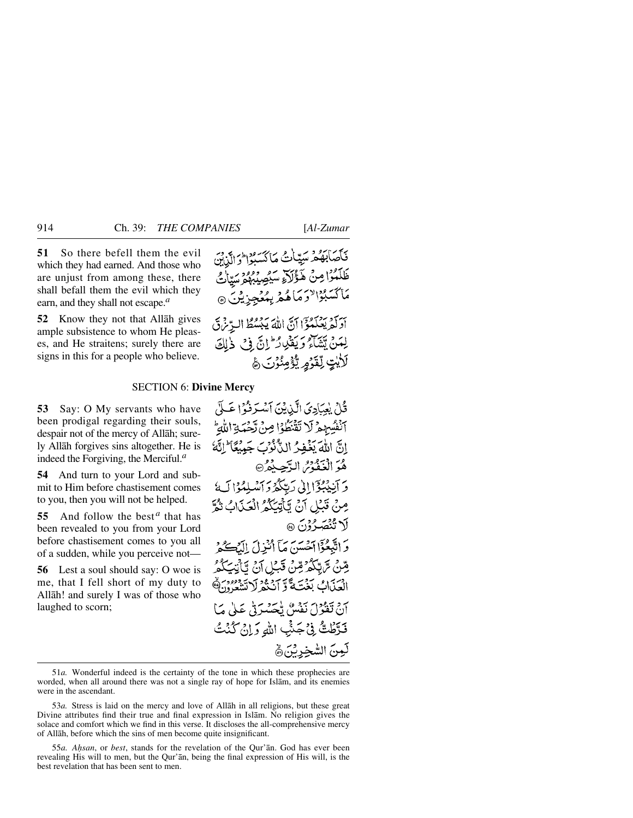**51** So there befell them the evil which they had earned. And those who are unjust from among these, there shall befall them the evil which they earn, and they shall not escape.*<sup>a</sup>*

**52** Know they not that Allåh gives ample subsistence to whom He pleases, and He straitens; surely there are signs in this for a people who believe.

#### SECTION 6: **Divine Mercy**

**53** Say: O My servants who have been prodigal regarding their souls, despair not of the mercy of Allåh; surely Allåh forgives sins altogether. He is indeed the Forgiving, the Merciful.*<sup>a</sup>*

**54** And turn to your Lord and submit to Him before chastisement comes to you, then you will not be helped.

**55** And follow the best<sup>*a*</sup> that has been revealed to you from your Lord before chastisement comes to you all of a sudden, while you perceive not—

**56** Lest a soul should say: O woe is me, that I fell short of my duty to Allåh! and surely I was of those who laughed to scorn;

فَكَصَابَهُمْ سَيِّمَاتُ مَاكَسَبُوْا وَالَّذِينَ ظَلَّمُوْا مِنْ هَؤُلَاَءِ سَيُصِيْبُهُوَ سَيَانُيُّ مَاكْسَبُوْالْأَوَمَاهُمْ بِمُعْجِزِيْنَ ۞ بِرَ دِينَ وَاللَّهُ اللَّهُ يَبْسُطُ الَّذِينَ لَّ

لِمَنْ يَبْيَنَكُمْ وَيَقْلِلُ إِنَّ فِي ذَٰلِكَ لَأَيْتٍ لِّقَوْمِ يُؤْمِنُونَ ﴾

قُلْ بِعِبَادِيَ الَّذِيْنَ أَسْتَرِفُوْا عَبِلَى آنْفُسِهِمْ لَا تَقْنَطُوْا صِنْ تَحْمَةِ اللَّهِ إِنَّ اللَّهَ يَغْفِرُ الدُّنُوبَ جَبِيعًا ۖ إِنَّهُ هُوَ الْغَفْوْسُ الدَّجِيكُمُ® وَ آنِيْبُوْٓا إِلَىٰ رَبِّكُمْ وَ ٱسْلِمُوْا لَهُ مِنْ قَبْلِ آنْ تَأْتِيَكُمُ الْعَذَابُ نَمُّ لَا تُنْصَدُوْنَ ۞ وَ اتَّبَعُوٓا اَحۡسَنَ مَآ اُنۡذِلَ الۡدَّبِيَّةُ ۚ قِنْ تَرَبِّكُمْ قِنْ قَبْلِ آنْ يَأْتِيَكُمُ الْعَدَابُ بَغْتَةً وَّ أَنْثَةُ لَاتَشَعَّهُ، وَهُ آنْ تَعْزُلَ نَفْسٌ تُحَسَّرَتْي عَلَىٰ مَا فَدَّطْتُّ فِي جَشِّ اللهِ وَإِنْ كُنْتُ لَمِينَ الشَّخِيرِينَ ﴾

<sup>51</sup>*a.* Wonderful indeed is the certainty of the tone in which these prophecies are worded, when all around there was not a single ray of hope for Islåm, and its enemies were in the ascendant.

<sup>53</sup>*a.* Stress is laid on the mercy and love of Allåh in all religions, but these great Divine attributes find their true and final expression in Islåm. No religion gives the solace and comfort which we find in this verse. It discloses the all-comprehensive mercy of Allåh, before which the sins of men become quite insignificant.

<sup>55</sup>*a. A√san*, or *best*, stands for the revelation of the Qur'ån. God has ever been revealing His will to men, but the Qur'ån, being the final expression of His will, is the best revelation that has been sent to men.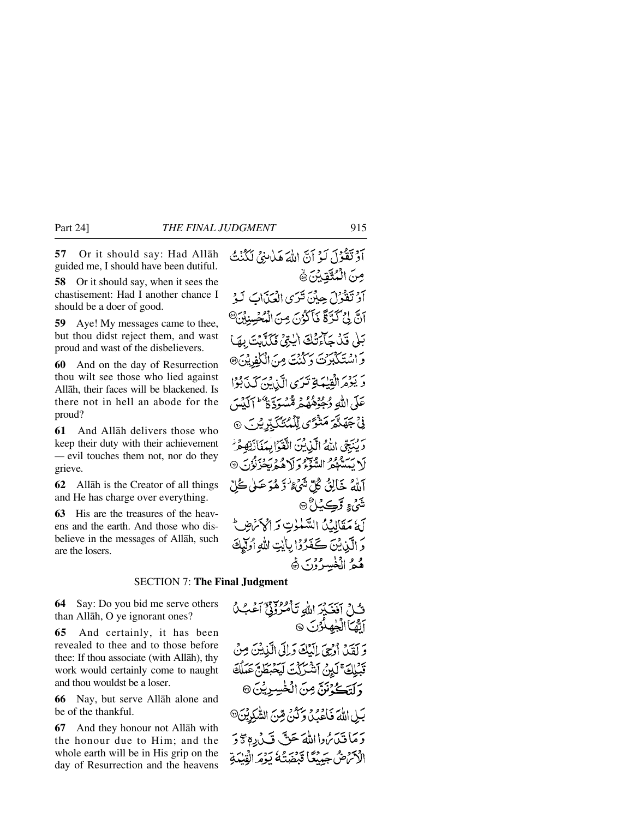**57** Or it should say: Had Allåh guided me, I should have been dutiful.

**58** Or it should say, when it sees the chastisement: Had I another chance I should be a doer of good.

**59** Aye! My messages came to thee, but thou didst reject them, and wast proud and wast of the disbelievers.

**60** And on the day of Resurrection thou wilt see those who lied against Allåh, their faces will be blackened. Is there not in hell an abode for the proud?

**61** And Allåh delivers those who keep their duty with their achievement *—* evil touches them not, nor do they grieve.

**62** Allåh is the Creator of all things and He has charge over everything.

**63** His are the treasures of the heavens and the earth. And those who disbelieve in the messages of Allåh, such are the losers.

آَوْتَقْوُلَ لَهُ أَنَّ اللَّهَ هَابِنِيَّ لَكُنْتُ مِنَ الْمُتَّقِيِّنَ ﴾ أَوْ تَقْوُلَ حِيْنَ تَرَى الْعَذَابَ لَـوْ اَنَّ لِيُ كَرَّةً فَأَكْوُنَ مِنَ الْمُحْسِنِيْنَ<sup>@</sup> بَلْى قَدْ جَآءَتْكَ الِّتِيْ فَكَذَّبَتَ بِهَا وَاسْتَكْبَرُتَ وَكُنْتَ مِنَ الْكَفِيشَ® وَيَذِهَرَ الْقِيْبَةِ تَدَى الَّذِينَ كَذَبُوْا عَلَى اللَّهِ وُحِدِّهُهُمْ قُسْبَةٌ وَعَظَمَ ٱلْمَدِّينَ ڹۣٛ*ٚ*ۼۿڐؙ*ۮۭٙۿڎٝٷ*؆ۣڵڷؠٮ۠ػڲڋڔؿؾ۞ تَرْبِيَّتِي اللَّهُ الَّذِينَ اتَّقَوْا بِبَغَانَتِهِ مَرْ كَ يَسْتَعْفُرُ السَّوْءُ وَلَا هُدَيْجُرْنُوْنَ ۞ اللهُ خَالِقُ كُلِّ شَيْءٌ وَهُوَ عَـلَى كُلِّ شئءِ وَڪِٽلُ @ لَهُ مَقَالِيُكُ السَّنْوِتِ وَالْإِنْهُ ثَلِّ وَ الَّيْنِ يُنَ كَفَرُوْا بِالَّذِي اللَّهِ أُولَّلِكَ هُمُ الْخَسِرُوْرَ ﴾

### **SECTION 7: The Final Judgme**

ڡڴ

بينُ يألقا

**64** Say: Do you bid me serve others than Allåh, O ye ignorant ones?

**65** And certainly, it has been revealed to thee and to those before thee: If thou associate (with Allåh), thy work would certainly come to naught and thou wouldst be a loser.

**66** Nay, but serve Allåh alone and be of the thankful.

**67** And they honour not Allåh with the honour due to Him; and the whole earth will be in His grip on the day of Resurrection and the heavens

دَ مَا قَيْنَ تَرَاهُ اللَّهُ حَقٌّ قَبْ رُدِهِ # دَ الْأَثَرُ صُ جَبِيْعًا قَبْضَتُهُ يَوْمَ الْقِيْدَةِ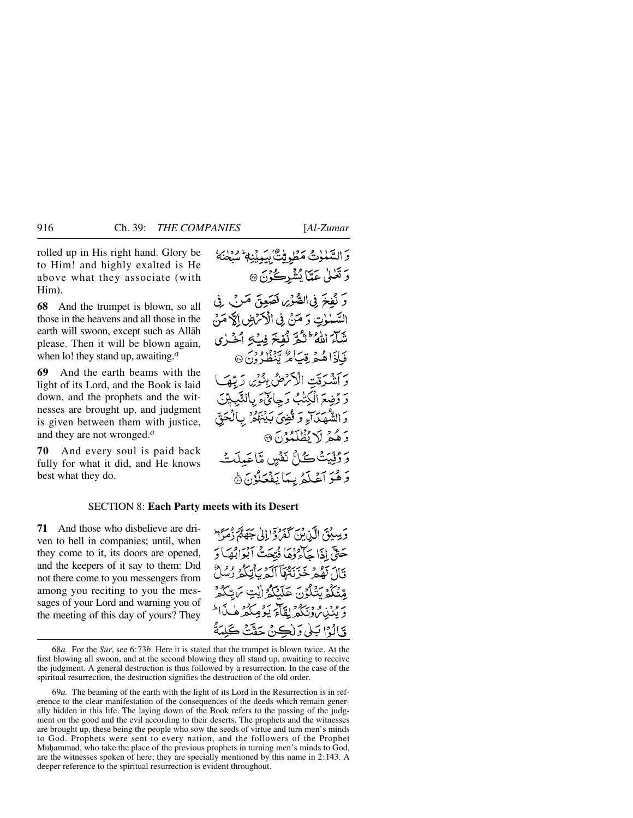rolled up in His right hand. Glory be to Him! and highly exalted is He above what they associate (with Him).

**68** And the trumpet is blown, so all those in the heavens and all those in the earth will swoon, except such as Allåh please. Then it will be blown again, when lo! they stand up, awaiting.*<sup>a</sup>*

**69** And the earth beams with the light of its Lord, and the Book is laid down, and the prophets and the witnesses are brought up, and judgment is given between them with justice, and they are not wronged.*<sup>a</sup>*

**70** And every soul is paid back fully for what it did, and He knows best what they do.

وَالسَّمْلُوتُ مَطْوِيِّتٌ بِيَمِيْنِهٖ سُبْحَنَهُ وَ تَعْلَىٰ عَمَّاَ يُشْرِكُوْنَ ۞ وَ نُفخَ فِي الصُّوْيِ فَصَعِقَ مَرْبٌ فِي السَّمْمَوْتِ وَ مَنْ فِي الْأَمْرَضِ إِلَيْهِ مَنْ شَآءَ اللَّهُ ۖ لَئُوْيَمَ فِيَ2 ٱخْـٰرٰى فَإِذَاهُمْ قِيَاهُ يَنْظُرُونَ۞ بِرَ دَوْيَتِ الْإِثْرَاضِ بِبُنُوْيِ رَبِّ رَ وُضِعَ الْكِتْبُ رَجِائِيَّ بِالنَّبِّ وَالشَّهَيَدَاءِ وَتُضِيَ بَدْنَهُمْ بِٱلْحَقِّ وَهُمْ لَا يُظْلَمُوْنَ ۞ بروتيتُ كُلُّ نَفْسٍ مَّاعَيلَتْ دَهْوَ آَعْبَدْهُ بِيِّمَا يَفْعَلُوْنَ۞

#### SECTION 8: **Each Party meets with its Desert**

**71** And those who disbelieve are driven to hell in companies; until, when they come to it, its doors are opened, and the keepers of it say to them: Did not there come to you messengers from among you reciting to you the messages of your Lord and warning you of the meeting of this day of yours? They

وَسِينَقَ الَّذِينَ كَفَرُدَّ إِلاَيْ جَهَةً وَمَرَام حَتَّى إِذَا جَآءُ وَهَا فَيْعَتْ آبَوَابُهَا وَ وَّالَ لَقُمْ خَدْبَيْتُقَآ ٱلَّهُ بِأَنِيَكُمْ دُسُلٌ وْيَكُمْ يَتْلَكُّنْ جَلَيْتِكُمُ أَيْتِ يَرْسَكُوْ برود. و دېږو ټاپرېژومکو هه وَّالُوْا بَلْي وَلْكِنْ حَقَّتْ كَلِمَةُ

<sup>68</sup>*a.* For the *˝∂r*, see 6:73*b*. Here it is stated that the trumpet is blown twice. At the first blowing all swoon, and at the second blowing they all stand up, awaiting to receive the judgment. A general destruction is thus followed by a resurrection. In the case of the spiritual resurrection, the destruction signifies the destruction of the old order.

<sup>69</sup>*a.* The beaming of the earth with the light of its Lord in the Resurrection is in reference to the clear manifestation of the consequences of the deeds which remain generally hidden in this life. The laying down of the Book refers to the passing of the judgment on the good and the evil according to their deserts. The prophets and the witnesses are brought up, these being the people who sow the seeds of virtue and turn men's minds to God. Prophets were sent to every nation, and the followers of the Prophet Muhammad, who take the place of the previous prophets in turning men's minds to God, are the witnesses spoken of here; they are specially mentioned by this name in 2:143. A deeper reference to the spiritual resurrection is evident throughout.